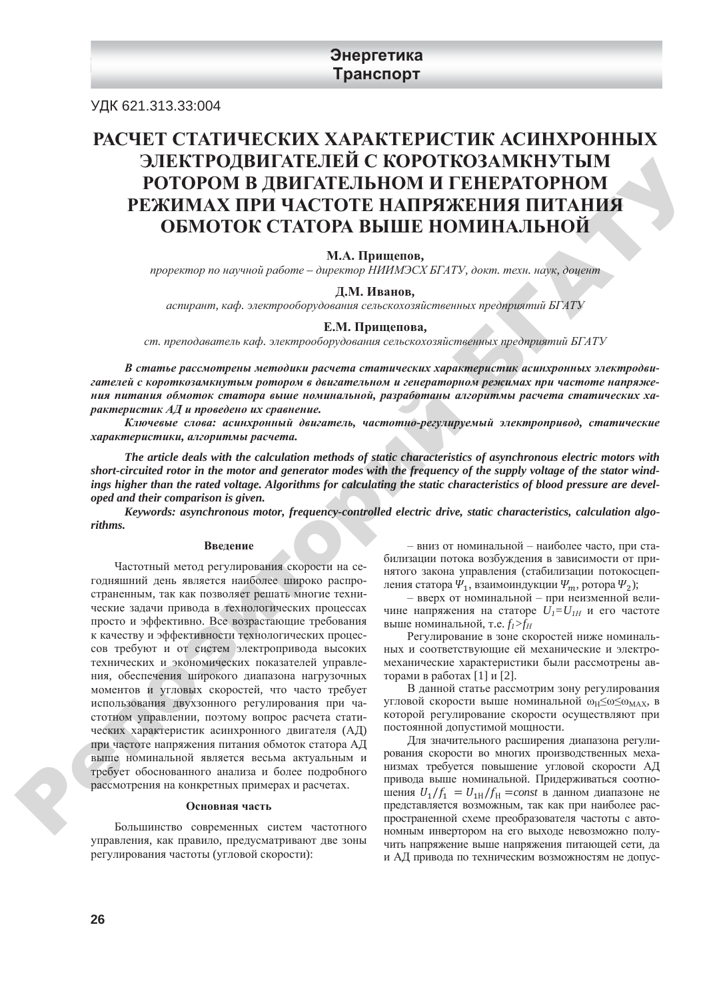## **Энергетика Транспорт**

УДК 621.313.33:004

# РАСЧЕТ СТАТИЧЕСКИХ ХАРАКТЕРИСТИК АСИНХРОННЫХ ЭЛЕКТРОДВИГАТЕЛЕЙ С КОРОТКОЗАМКНУТЫМ РОТОРОМ В ДВИГАТЕЛЬНОМ И ГЕНЕРАТОРНОМ РЕЖИМАХ ПРИ ЧАСТОТЕ НАПРЯЖЕНИЯ ПИТАНИЯ **ОБМОТОК СТАТОРА ВЫШЕ НОМИНАЛЬНОЙ**

#### **М.А.** Пришепов.

 $n$ роректор по научной работе – директор НИИМЭСХ БГАТУ, докт. техн. наук, доцент

#### **Д.М.** Иванов,

 $a$ спирант, каф. электрооборудования сельскохозяйственных предприятий БГАТУ

#### $E.M.$  Прищепова,

ст. преподаватель каф. электрооборудования сельскохозяйственных предприятий БГАТУ

В статье рассмотрены методики расчета статических характеристик асинхронных электродвигателей с короткозамкнутым ротором в двигательном и генераторном режимах при частоте напряжения питания обмоток статора выше номинальной, разработаны алгоритмы расчета статических характеристик АД и проведено их сравнение.

Ключевые слова: асинхронный двигатель, частотно-регулируемый электропривод, статические  $x$ арактеристики, алгоритмы расчета.

*The article deals with the calculation methods of static characteristics of asynchronous electric motors with short-circuited rotor in the motor and generator modes with the frequency of the supply voltage of the stator windings higher than the rated voltage. Algorithms for calculating the static characteristics of blood pressure are developed and their comparison is given.* 

*Keywords: asynchronous motor, frequency-controlled electric drive, static characteristics, calculation algorithms.*

#### **Ввеление**

Частотный метод регулирования скорости на сегодняшний день является наиболее широко распространенным, так как позволяет решать многие технические задачи привода в технологических процессах просто и эффективно. Все возрастающие требования к качеству и эффективности технологических процессов требуют и от систем электропривода высоких технических и экономических показателей управления, обеспечения широкого диапазона нагрузочных моментов и угловых скоростей, что часто требует использования двухзонного регулирования при частотном управлении, поэтому вопрос расчета статических характеристик асинхронного двигателя (АД) при частоте напряжения питания обмоток статора АД выше номинальной является весьма актуальным и требует обоснованного анализа и более подробного рассмотрения на конкретных примерах и расчетах. 2012 **CHEAT POLISIE AT AN EXAMPLE SET AND THE VERTIFIED MANNIFIED IN THE TRANSPORT OF A CONSUMERATION PERSENT OPTIMATE THE CONSULTED AT A CONSULTED AT A CONSULTED AT A CONSULTED AT A CONSULTED AT A CONSULTED AT A CONSULT** 

#### **Основная часть**

Большинство современных систем частотного управления, как правило, предусматривают две зоны регулирования частоты (угловой скорости):

- вниз от номинальной - наиболее часто, при стабилизации потока возбуждения в зависимости от принятого закона управления (стабилизации потокосцепления статора  $\Psi_1$ , взаимоиндукции  $\Psi_m$ , ротора  $\Psi_2$ );

- вверх от номинальной - при неизменной величине напряжения на статоре  $U_I = U_{I}$  и его частоте выше номинальной, т.е.  $f_I > f_H$ 

Регулирование в зоне скоростей ниже номинальных и соответствующие ей механические и электромеханические характеристики были рассмотрены авторами в работах [1] и [2].

В данной статье рассмотрим зону регулирования угловой скорости выше номинальной  $\omega_H \leq \omega \leq \omega_{MAX}$ , в которой регулирование скорости осуществляют при постоянной допустимой мощности.

Для значительного расширения диапазона регулирования скорости во многих производственных механизмах требуется повышение угловой скорости АД привода выше номинальной. Придерживаться соотношения  $U_1/f_1 = U_{1H}/f_H = const$  в данном диапазоне не представляется возможным, так как при наиболее распространенной схеме преобразователя частоты с автономным инвертором на его выходе невозможно получить напряжение выше напряжения питающей сети, да и АД привода по техническим возможностям не допус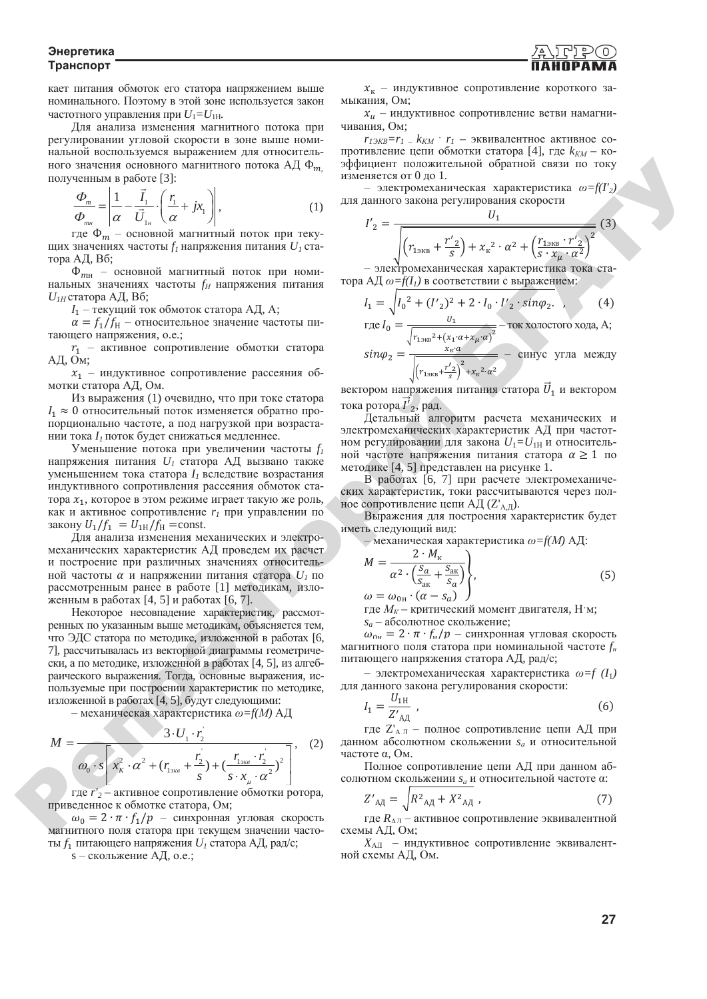**Энергетика Транспорт** 

кает питания обмоток его статора напряжением выше номинального. Поэтому в этой зоне используется закон частотного управления при  $U_1 = U_{1H}$ .

Для анализа изменения магнитного потока при регулировании угловой скорости в зоне выше номинальной воспользуемся выражением для относительного значения основного магнитного потока АД Ф<sub>т</sub> полученным в работе [3]:

$$
\frac{\Phi_m}{\Phi_{m}} = \left| \frac{1}{\alpha} - \frac{\vec{I}_1}{\vec{U}_{1n}} \cdot \left( \frac{r_1}{\alpha} + jx_1 \right) \right|,\tag{1}
$$

где  $\Phi_m$  – основной магнитный поток при текущих значениях частоты  $f_l$  напряжения питания  $U_l$  статора АД,  $B6$ ;

 $\Phi_{mH}$  – основной магнитный поток при номинальных значениях частоты  $f$ <sup>H</sup> напряжения питания *U*<sub>*H*</sub> статора АД, Вб;

 $I_1$  – текущий ток обмоток статора АД, А;

 $\alpha = f_1/f_H$  – относительное значение частоты питающего напряжения, о.е.;

 $r_1$  – активное сопротивление обмотки статора  $A\Pi$ , Ом;

 $x_1$  – индуктивное сопротивление рассеяния обмотки статора АД, Ом.

Из выражения (1) очевидно, что при токе статора  $I_1 \approx 0$  относительный поток изменяется обратно пропорционально частоте, а под нагрузкой при возрастании тока *I<sub>1</sub>* поток будет снижаться медленнее.

Уменьшение потока при увеличении частоты  $f_1$ напряжения питания  $U_I$  статора АД вызвано также уменьшением тока статора  $I_1$  вследствие возрастания индуктивного сопротивления рассеяния обмоток статора  $x_1$ , которое в этом режиме играет такую же роль, как и активное сопротивление  $r<sub>1</sub>$  при управлении по закону  $U_1/f_1 = U_{1H}/f_H$  = const.

Для анализа изменения механических и электромеханических характеристик АД проведем их расчет и построение при различных значениях относительной частоты  $\alpha$  и напряжении питания статора  $U_I$  по рассмотренным ранее в работе [1] методикам, изложенным в работах  $[4, 5]$  и работах  $[6, 7]$ .

Некоторое несовпадение характеристик, рассмотренных по указанным выше методикам, объясняется тем, что ЭДС статора по методике, изложенной в работах [6, 7], рассчитывалась из векторной диаграммы геометрически, а по методике, изложенной в работах [4, 5], из алгебраического выражения. Тогда, основные выражения, используемые при построении характеристик по методике, изложенной в работах [4, 5], будут следующими: υ material continuous comparison to the interaction of the continuous comparison of the interaction of the interaction of the interaction of the interaction of the interaction of the interaction of the interaction of the

- механическая характеристика  $\omega = f(M)$  АД

$$
M = \frac{3 \cdot U_1 \cdot r_2}{\omega_0 \cdot s \left[ x_K^2 \cdot \alpha^2 + (r_{1_{2\kappa\alpha}} + \frac{r_2}{s}) + (\frac{r_{1_{2\kappa\alpha}} \cdot r_2}{s \cdot x_u \cdot \alpha^2})^2 \right]}, \quad (2)
$$

где *r'*<sub>2</sub> – активное сопротивление обмотки ротора, приведенное к обмотке статора, Ом;

 $ω_0 = 2 \cdot π \cdot f_1/p$  – синхронная угловая скорость магнитного поля статора при текущем значении частоты  $f_1$  питающего напряжения  $U_1$  статора АД, рад/с;  $\omega_0 \cdot s$   $x'_k \cdot \alpha^2 + (r_{1_{2\kappa\theta}} + \frac{2}{s}) + (\frac{1_{2\kappa\theta} - 2}{s})^2$  Полное сопротивление цепи АД при данном аб-<br>
где  $r'_2$  – активное сопротивление обмотки ротора,<br>  $\omega_0 = 2 \cdot \pi \cdot f_1/p$  – синхронная угловая скорость  $Z'_{A\bar{A}}$ 

s - скольжение АД, о.е.;

 $x_{\text{K}}$  – индуктивное сопротивление короткого замыкания, Ом;

 $x_u$  – индуктивное сопротивление ветви намагничивания. Ом:

 $r_{I \to K} = r_I - k_{KM} \cdot r_I$  – эквивалентное активное сопротивление цепи обмотки статора [4], где  $k_{KM}$  – коэффициент положительной обратной связи по току изменяется от 0 до 1.

– электромеханическая характеристика  $\omega = f(I_2)$ для данного закона регулирования скорости

$$
I'_{2} = \frac{U_{1}}{\sqrt{\left(r_{13KB} + \frac{r'_{2}}{S}\right) + x_{\kappa}^{2} \cdot \alpha^{2} + \left(\frac{r_{13KB} \cdot r'_{2}}{S \cdot x_{\mu} \cdot \alpha^{2}}\right)^{2}}}} (3)
$$

– электромеханическая характеристика тока ста- $\tau$ ора АД  $\omega = f(I_1)$  в соответствии с выражением:

$$
I_1 = \sqrt{I_0^2 + (I'_2)^2 + 2 \cdot I_0 \cdot I'_2 \cdot sin\varphi_2} \tag{4}
$$

где  $I_0 = \frac{U_1}{\sqrt{1 - \frac{U_2}{\sqrt{1 - \frac{U_1}{\sqrt{1 - \frac{U_2}{\sqrt{1 - \frac{U_2}{\sqrt{1 - \frac{U_2}{\sqrt{1 - \frac{U_2}{\sqrt{1 - \frac{U_2}{\sqrt{1 - \frac{U_2}{\sqrt{1 - \frac{U_2}{\sqrt{1 - \frac{U_2}{\sqrt{1 - \frac{U_2}{\sqrt{1 - \frac{U_2}{\sqrt{1 - \frac{U_2}{\sqrt{1 - \frac{U_2}{\sqrt{1 - \frac{U_2}{\sqrt{1 - \frac{U_2}{\sqrt{1 - \frac{U_2}{$  $\frac{1}{\sqrt{r_{13KB}^2 + (x_1 \cdot \alpha + x_\mu \cdot \alpha)^2}}$  – ток холостого хода, А;

$$
sin\varphi_2 = \frac{x_{\kappa}a}{\sqrt{\left(r_{1\text{max}} + \frac{r'_2}{s}\right)^2 + x_{\kappa}^2 \cdot \alpha^2}} - \text{cm}
$$

вектором напряжения питания статора  $U_1$  и вектором тока ротора  $I'_{2}$ , рад.

Детальный алгоритм расчета механических и электромеханических характеристик АД при частотном регулировании для закона  $U_1 = U_{1H}$  и относительной частоте напряжения питания статора  $\alpha \geq 1$  по методике [4, 5] представлен на рисунке 1.

В работах [6, 7] при расчете электромеханических характеристик, токи рассчитываются через полное сопротивление цепи АД $(Z'_{A,\Pi})$ .

Выражения для построения характеристик будет иметь следующий вид:

– механическая характеристика  $\omega = f(M)$  АД:

$$
M = \frac{2 \cdot M_{\rm K}}{\alpha^2 \cdot \left(\frac{S_a}{S_{\rm AK}} + \frac{S_{\rm AK}}{S_a}\right)},
$$
  
\n
$$
\omega = \omega_{\rm OH} \cdot (\alpha - S_a)
$$
\n(5)

где  $M_K$ – критический момент двигателя, Н $\cdot$ м; *s<sub>a</sub>* – абсолютное скольжение;

 $\omega_{0x} = 2 \cdot \pi \cdot f_{x}/p - \text{chexp}$ онная угловая скорость магнитного поля статора при номинальной частоте  $f_{\mu}$ питающего напряжения статора АД, рад/с;

– электромеханическая характеристика  $\omega = f (I_1)$ для данного закона регулирования скорости:

$$
I_1 = \frac{U_{1H}}{Z'_{A\mu}} \t{6}
$$

 $\mathbb{Z}_{A\mu}$  – полное сопротивление цепи АД при данном абсолютном скольжении  $s_a$  и относительной частоте  $\alpha$ , Ом.

Полное сопротивление цепи АД при данном абсолютном скольжении *s*<sub>*a*</sub> и относительной частоте α:

$$
Z'_{A\bar{A}} = \sqrt{R^2_{A\bar{A}} + X^2_{A\bar{A}}} \tag{7}
$$

где  $R_{\text{AT}}$  – активное сопротивление эквивалентной схемы АД, Ом;<br> $X_{\text{AT}}$  – индуктивное сопротивление эквивалент-

ной схемы АД, Ом.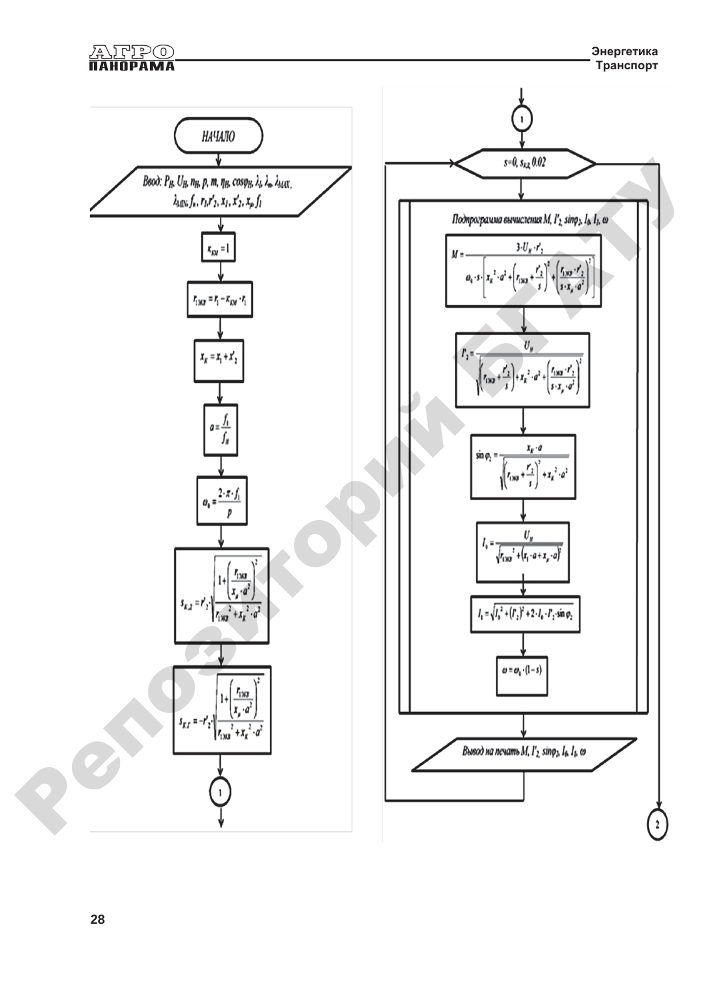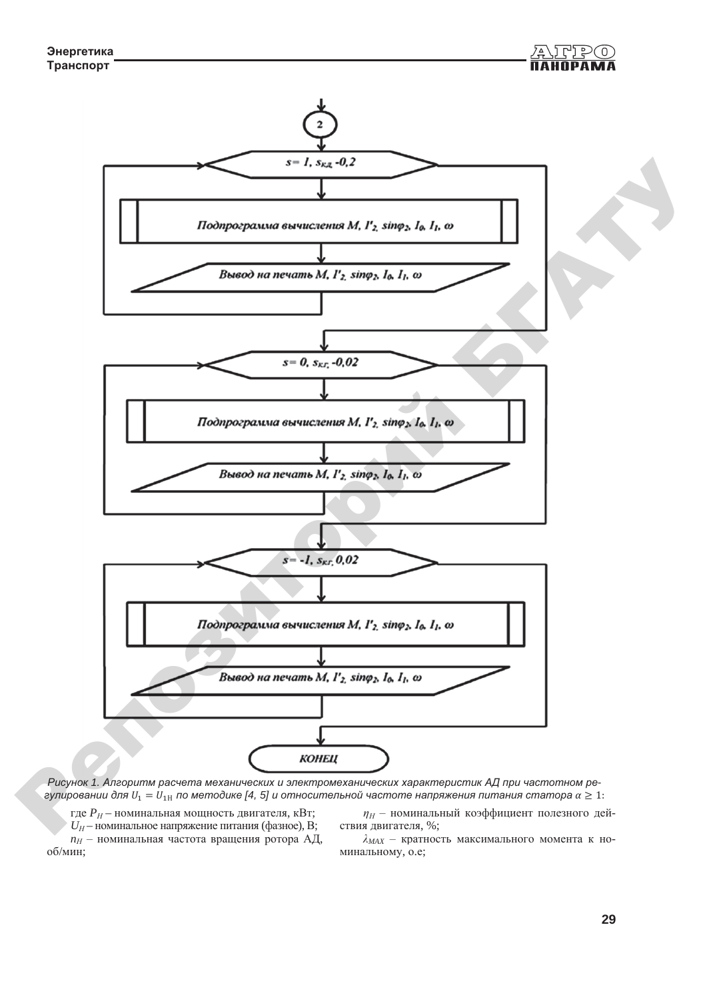

Рисунок 1. Алгоритм расчета механических и электромеханических характеристик АД при частотном ре $z$ улировании для  $U_1=U_{1\text{H}}$  по методике [4, 5] и относительной частоте напряжения питания статора α  $\ge 1$ : *Pucyнok 1. Алгоритм расчета механических и электромеханических характеристик АД при частотном ре-*<br>*гулировании для*  $U_1 = U_{1H}$  *по методике [4, 5] и относительной частоте напряжения питания статора*  $\alpha \ge 1$ *:*<br> $\Gamma_{H}P_{H}$ 

где  $P_H$  – номинальная мощность двигателя, кВт; *U*<sup>*H*</sup> – номинальное напряжение питания (фазное), В; *n*<sup>*H*</sup> – номинальная частота вращения ротора АД, об/мин;

 $\eta_H$  – номинальный коэффициент полезного дей-

ствия двигателя, %;<br> $\lambda_{MAX}$  – кратность максимального момента к номинальному, о.е;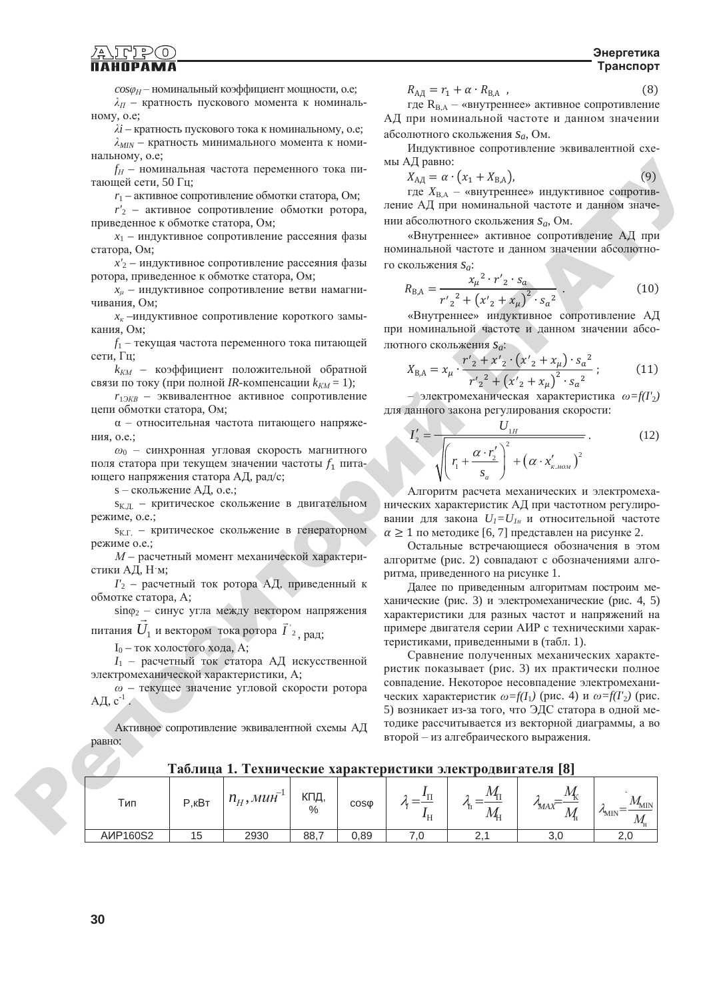#### **Энергетика Транспорт**

 $cos\varphi_H$  – номинальный коэффициент мощности, о.е;  $\lambda_{\Pi}$  – кратность пускового момента к номинальному, о.е;

 $\lambda i$  – кратность пускового тока к номинальному, о.е;  $\lambda_{MIN}$  – кратность минимального момента к номинальному, о.е;

 $f_H$  – номинальная частота переменного тока питающей сети, 50 Гц;

 $r_1$  – активное сопротивление обмотки статора, Ом;

*r'*<sub>2</sub> – активное сопротивление обмотки ротора, приведенное к обмотке статора, Ом;

 $x_1$  – индуктивное сопротивление рассеяния фазы статора, Ом;

*x'*<sub>2</sub> – индуктивное сопротивление рассеяния фазы ротора, приведенное к обмотке статора, Ом;

 $x<sub>u</sub>$  – индуктивное сопротивление ветви намагничивания, Ом;

*x*<sup>*k*</sup> –индуктивное сопротивление короткого замыкания, Ом;

*f*<sub>1</sub> – текущая частота переменного тока питающей сети, Гц;

 $k_{KM}$  – коэффициент положительной обратной связи по току (при полной *IR*-компенсации  $k_{KM} = 1$ );

 $r_{13KB}$  – эквивалентное активное сопротивление цепи обмотки статора, Ом;

 $\alpha$  - относительная частота питающего напряжения, о.е.:

 $ω<sub>0</sub>$  - синхронная угловая скорость магнитного поля статора при текущем значении частоты  $f_1$  питающего напряжения статора АД, рад/с;

s – скольжение АД, о.е.;

 $s_{K.I.}$  – критическое скольжение в двигательном режиме, о.е.;

s<sub>K.Г.</sub> – критическое скольжение в генераторном neжимe o.e.:

*М* – расчетный момент механической характеристики АД, Н м;

*I'*<sub>2</sub> – расчетный ток ротора АД, приведенный к обмотке статора, А;

 $\sin\varphi_2$  – синус угла между вектором напряжения .<br>= , рад;

питания  $U_1$  и вектором тока ротора  $\vec{I}$  '2

 $I_0$  – ток холостого хода, А; *I*<sub>1</sub> - расчетный ток статора АД искусственной

электромеханической характеристики, А;

 $ω$  – текущее значение угловой скорости ротора АД,  $c^{-1}$ .

Активное сопротивление эквивалентной схемы АД равно:

$$
R_{\rm AJ} = r_1 + \alpha \cdot R_{\rm BA} \quad , \tag{8}
$$

где  $R_{BA}$  – «внутреннее» активное сопротивление АД при номинальной частоте и данном значении абсолютного скольжения S<sub>a</sub>, Ом.

Индуктивное сопротивление эквивалентной схемы АД равно:

$$
X_{\text{A}\text{I}} = \alpha \cdot \left(x_1 + X_{\text{B},\text{A}}\right),\tag{9}
$$

где  $X_{\text{BA}}$  – «внутреннее» индуктивное сопротивление АД при номинальной частоте и данном значении абсолютного скольжения S<sub>a</sub>, Ом.

«Внутреннее» активное сопротивление АД при номинальной частоте и данном значении абсолютного скольжения S<sub>a</sub>:

$$
R_{\text{B,A}} = \frac{x_{\mu}^{2} \cdot r'_{2} \cdot s_{a}}{r'_{2}^{2} + (x'_{2} + x_{\mu})^{2} \cdot s_{a}^{2}}.
$$
 (10)

«Внутреннее» индуктивное сопротивление АД при номинальной частоте и данном значении абсолютного скольжения S<sub>a</sub>:

$$
X_{\text{B,A}} = x_{\mu} \cdot \frac{r'_{2} + x'_{2} \cdot (x'_{2} + x_{\mu}) \cdot s_{a}^{2}}{r'_{2}^{2} + (x'_{2} + x_{\mu})^{2} \cdot s_{a}^{2}} ; \qquad (11)
$$

 $\rightarrow$  электромеханическая характеристика  $\omega = f(I_2)$ для данного закона регулирования скорости:

$$
I'_{2} = \frac{U_{1H}}{\sqrt{\left(r_{1} + \frac{\alpha \cdot r_{2}^{'}}{s_{a}}\right)^{2} + \left(\alpha \cdot x_{\kappa, \text{max}}^{'}\right)^{2}}}
$$
 (12)

Алгоритм расчета механических и электромеханических характеристик АД при частотном регулировании для закона  $U_1=U_{1H}$  и относительной частоте  $\alpha \geq 1$  по методике [6, 7] представлен на рисунке 2.

Остальные встречающиеся обозначения в этом алгоритме (рис. 2) совпадают с обозначениями алгоритма, приведенного на рисунке 1.

Далее по приведенным алгоритмам построим механические (рис. 3) и электромеханические (рис. 4, 5) характеристики для разных частот и напряжений на примере двигателя серии АИР с техническими характеристиками, приведенными в (табл. 1).

Сравнение полученных механических характеристик показывает (рис. 3) их практически полное совпадение. Некоторое несовпадение электромеханических характеристик  $\omega = f(I_1)$  (рис. 4) и  $\omega = f(I_2)$  (рис. 5) возникает из-за того, что ЭДС статора в одной методике рассчитывается из векторной диаграммы, а во второй - из алгебраического выражения. επισκόποιε αποκοποιο του περιοχούνου του περιμείου του προσωπικο του προσωπικο του προσωπικο του προσωπικο του προσωπικο του προσωπικο του προσωπικο του προσωπικο του προσωπικο του προσωπικο του προσωπικο του προσωπικο τ

**Таблица 1. Технические характеристики электродвигателя** [8]

| Таблица 1. Технические характеристики электродвигателя [8] |        |             |                      |                  |  |  |     |      |
|------------------------------------------------------------|--------|-------------|----------------------|------------------|--|--|-----|------|
| Тип                                                        | Р. кВт | $n_H$ , MUH | КПД<br>$\frac{0}{0}$ | COS <sub>0</sub> |  |  | MΑX | 'MIN |
| <b>A</b> MP160S2                                           |        | 2930        | 88,7                 | 0.89             |  |  |     |      |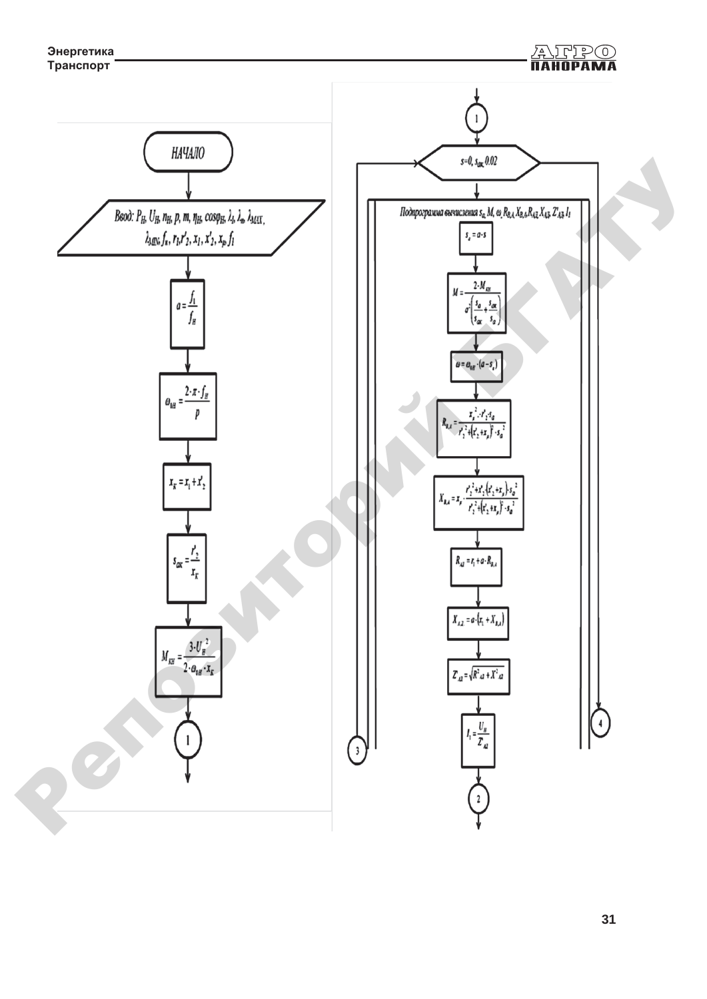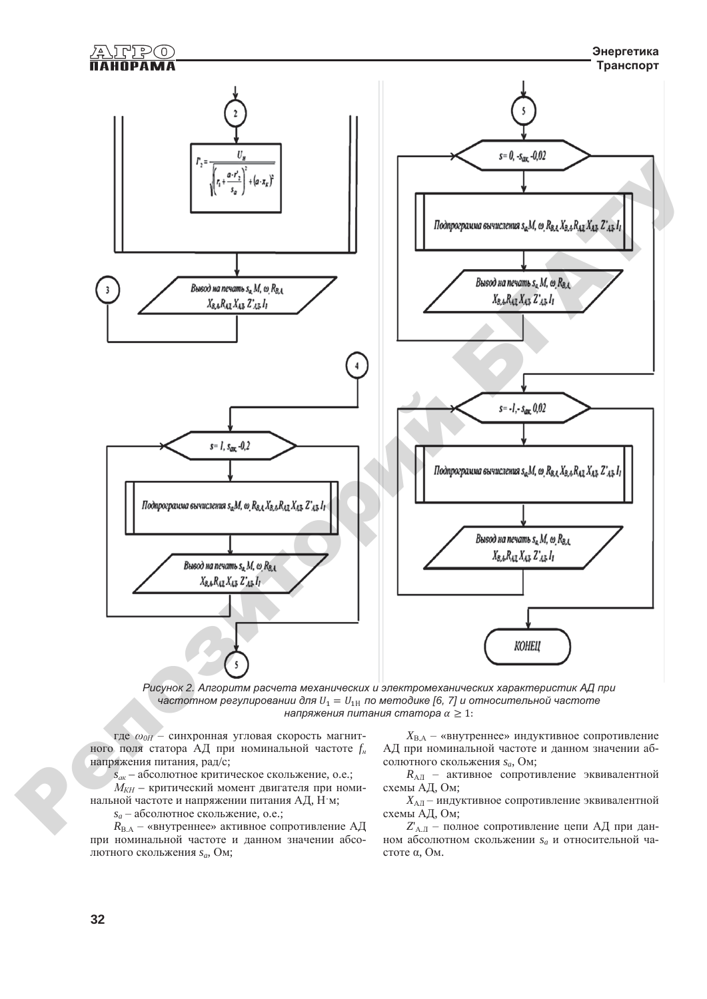



где  $\omega_{0H}$  - синхронная угловая скорость магнитного поля статора АД при номинальной частоте  $f_{\mu}$ напряжения питания, рад/с;

 $s_{\alpha k}$  – абсолютное критическое скольжение, о.е.;

 $M_{KH}$  – критический момент двигателя при номинальной частоте и напряжении питания АД, Н'м;

 $s_a$  – абсолютное скольжение, о.е.;

 $R_{\text{B.A}}$  – «внутреннее» активное сопротивление АД при номинальной частоте и данном значении абсолютного скольжения s<sub>a</sub>, Ом:

 $X_{\text{BA}}$  – «внутреннее» индуктивное сопротивление АД при номинальной частоте и данном значении абсолютного скольжения  $s_a$ , Ом;

 $R_{\rm AH}$  – активное сопротивление эквивалентной схемы АД, Ом;

 $X_{\text{AII}}$  – индуктивное сопротивление эквивалентной схемы АД, Ом;

 $Z_{A,\Pi}$  – полное сопротивление цепи АД при данном абсолютном скольжении  $s_a$  и относительной частоте α. Ом.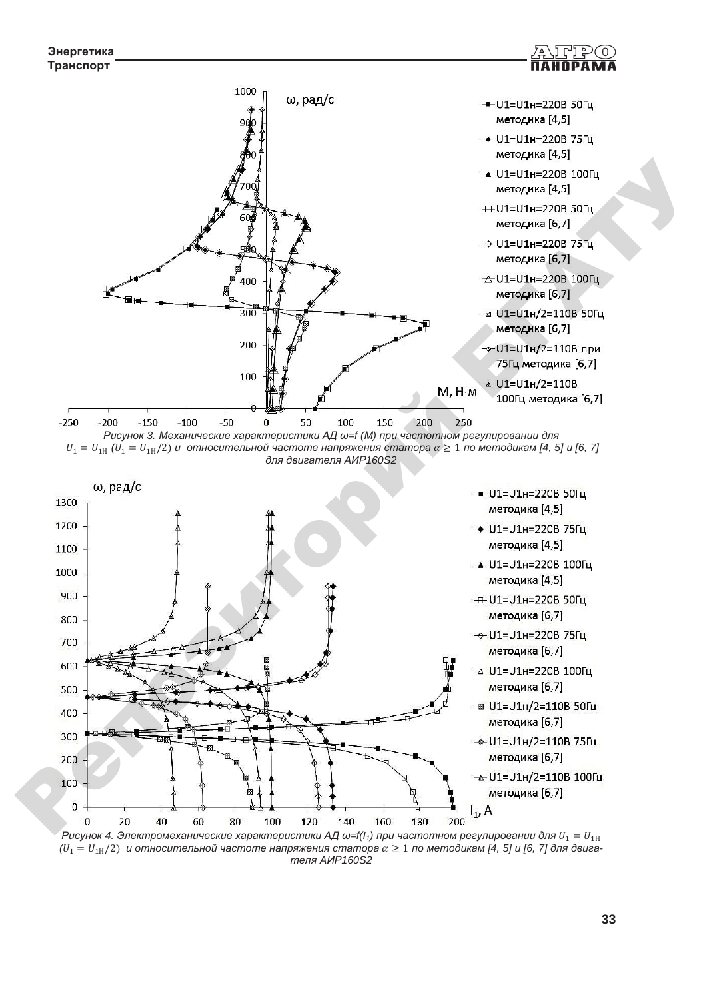





 $P$ исунок 4. Электромеханические характеристики АД ω=f(I<sub>1</sub>) при частотном регулировании для  $U_1 = U_{1H}$  $(U_1 = U_{1H}/2)$  и относительной частоте напряжения статора α ≥ 1 по методикам [4, 5] и [6, 7] для двига $m$ еля AИP<sub>160S2</sub>

고도

 $D(0)$